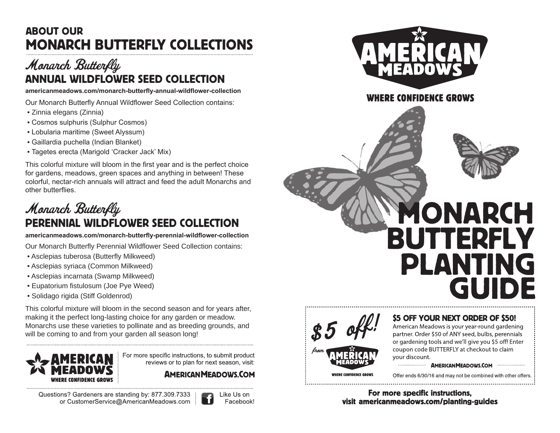## ABOUT OUR MONARCH BUTTERFLY COLLECTIONS

## Monarch Butterfly ANNUAL WILDFLOWER SEED COLLECTION

**americanmeadows.com/monarch-butterfly-annual-wildflower-collection**

Our Monarch Butterfly Annual Wildflower Seed Collection contains:

- Zinnia elegans (Zinnia)
- Cosmos sulphuris (Sulphur Cosmos)
- Lobularia maritime (Sweet Alyssum)
- Gaillardia puchella (Indian Blanket)
- Tagetes erecta (Marigold 'Cracker Jack' Mix)

This colorful mixture will bloom in the first year and is the perfect choice for gardens, meadows, green spaces and anything in between! These colorful, nectar-rich annuals will attract and feed the adult Monarchs and other butterflies.

## Monarch Butterfly PERENNIAL WILDFLOWER SEED COLLECTION

**americanmeadows.com/monarch-butterfly-perennial-wildflower-collection**

Our Monarch Butterfly Perennial Wildflower Seed Collection contains:

- Asclepias tuberosa (Butterfly Milkweed)
- Asclepias syriaca (Common Milkweed)
- Asclepias incarnata (Swamp Milkweed)
- Eupatorium fistulosum (Joe Pye Weed)
- Solidago rigida (Stiff Goldenrod)

This colorful mixture will bloom in the second season and for years after, making it the perfect long-lasting choice for any garden or meadow. Monarchs use these varieties to pollinate and as breeding grounds, and will be coming to and from your garden all season long!



For more specific instructions, to submit product reviews or to plan for next season, visit:

**AMERICAN MEADOWS.COM** 

Questions? Gardeners are standing by: 877.309.7333 or CustomerService@AmericanMeadows.com





#### <del>I</del>ERE CONFIDENCE GROWS





#### **S5 OFF YOUR NEXT ORDER OF \$50!**

American Meadows is your year-round gardening partner. Order \$50 of ANY seed, bulbs, perennials or gardening tools and we'll give you \$5 off! Enter coupon code BUTTERFLY at checkout to claim vour discount.

#### 

Offer ends 6/30/16 and may not be combined with other offers.

For more specific instructions, visit americanmeadows.com/planting-guides